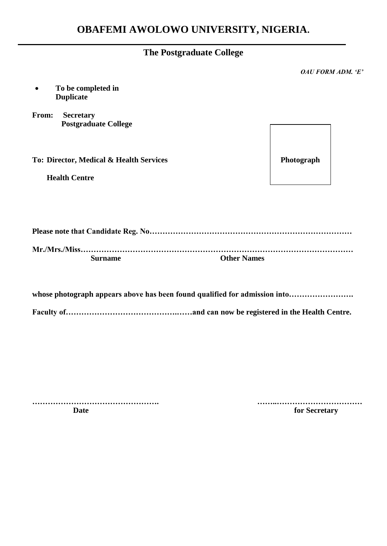|                                                          | <b>The Postgraduate College</b>                                            |
|----------------------------------------------------------|----------------------------------------------------------------------------|
|                                                          | <b>OAU FORM ADM. 'E'</b>                                                   |
| To be completed in<br><b>Duplicate</b>                   |                                                                            |
| From:<br><b>Secretary</b><br><b>Postgraduate College</b> |                                                                            |
| To: Director, Medical & Health Services                  | Photograph                                                                 |
| <b>Health Centre</b>                                     |                                                                            |
|                                                          |                                                                            |
|                                                          |                                                                            |
| <b>Surname</b>                                           | <b>Other Names</b>                                                         |
|                                                          | whose photograph appears above has been found qualified for admission into |

**Faculty of…………………………………….……and can now be registered in the Health Centre.**

**…………………………………………. ……..…………………………… Date** for Secretary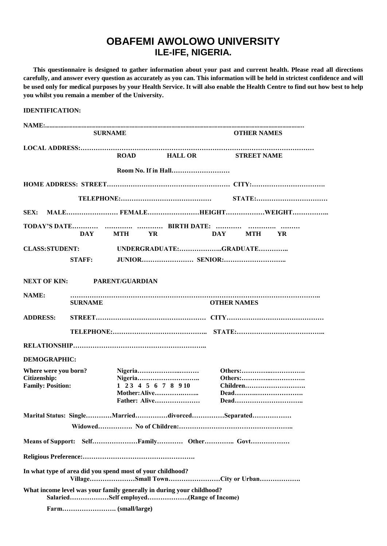# **OBAFEMI AWOLOWO UNIVERSITY ILE-IFE, NIGERIA.**

 **This questionnaire is designed to gather information about your past and current health. Please read all directions carefully, and answer every question as accurately as you can. This information will be held in strictest confidence and will be used only for medical purposes by your Health Service. It will also enable the Health Centre to find out how best to help you whilst you remain a member of the University.**

| <b>IDENTIFICATION:</b>                                                  |                |                |                                                                                                                 |                    |                             |
|-------------------------------------------------------------------------|----------------|----------------|-----------------------------------------------------------------------------------------------------------------|--------------------|-----------------------------|
|                                                                         |                |                |                                                                                                                 |                    |                             |
|                                                                         |                | <b>SURNAME</b> |                                                                                                                 | <b>OTHER NAMES</b> |                             |
|                                                                         |                |                | ROAD HALL OR STREET NAME                                                                                        |                    |                             |
|                                                                         |                |                |                                                                                                                 |                    |                             |
|                                                                         |                |                |                                                                                                                 |                    |                             |
|                                                                         |                |                |                                                                                                                 |                    |                             |
|                                                                         |                |                |                                                                                                                 |                    | SEX: MALEFEMALEHEIGHTWEIGHT |
|                                                                         |                |                |                                                                                                                 |                    |                             |
|                                                                         |                | DAY MTH YR     |                                                                                                                 | DAY MTH YR         |                             |
| <b>CLASS:STUDENT:</b>                                                   |                |                | UNDERGRADUATE:GRADUATE                                                                                          |                    |                             |
|                                                                         | STAFF:         |                |                                                                                                                 |                    |                             |
| NEXT OF KIN: PARENT/GUARDIAN                                            |                |                |                                                                                                                 |                    |                             |
| NAME:                                                                   | <b>SURNAME</b> |                |                                                                                                                 | <b>OTHER NAMES</b> |                             |
| <b>ADDRESS:</b>                                                         |                |                |                                                                                                                 |                    |                             |
|                                                                         |                |                |                                                                                                                 |                    |                             |
|                                                                         |                |                |                                                                                                                 |                    |                             |
| <b>DEMOGRAPHIC:</b>                                                     |                |                |                                                                                                                 |                    |                             |
| Where were you born?<br><b>Citizenship:</b><br><b>Family: Position:</b> |                |                | $1\ 2\ 3\ 4\ 5\ 6\ 7\ 8\ 9\ 10$<br>Mother: Alive<br>Father: Alive                                               |                    | Others:<br>Children         |
|                                                                         |                |                | Marital Status: SingleMarrieddivorcedSeparated                                                                  |                    |                             |
|                                                                         |                |                |                                                                                                                 |                    |                             |
|                                                                         |                |                |                                                                                                                 |                    |                             |
|                                                                         |                |                |                                                                                                                 |                    |                             |
| In what type of area did you spend most of your childhood?              |                |                | VillageSmall TownCity or Urban                                                                                  |                    |                             |
|                                                                         |                |                | What income level was your family generally in during your childhood?<br>SalariedSelf employed(Range of Income) |                    |                             |
|                                                                         |                |                |                                                                                                                 |                    |                             |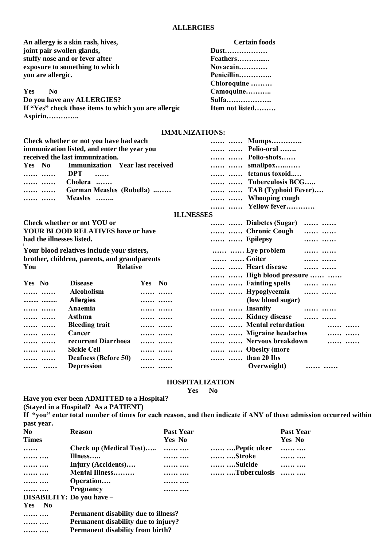### **ALLERGIES**

An allergy is a skin rash, hives, **Certain foods is a skin rash, hives, <b>Certain foods Dust................. joint pair swollen glands, stuffy nose and or fever after Feathers………...... exposure to something to which Novacain Novacain Novacain Novacain Novacain Novacain Novacain Novacain Novacain Novacain Novacain Novacain Novacain Novacain Novacain Novacain Novacain N you are allergic. Penicillin………….. Chloroquine ……… Yes No Camoquine……….. Do you have any ALLERGIES? Sulfa………………. If "Yes" check those items to which you are allergic Item not listed……… Aspirin…………..**

### **IMMUNIZATIONS:**

| Check whether or not you have had each      | Mumps               |
|---------------------------------------------|---------------------|
| immunization listed, and enter the year you | Polio-oral          |
| received the last immunization.             | Polio-shots         |
| Yes No Immunization Year last received      | smallpox            |
| DPT                                         | tetanus toxoid      |
| <br>Cholera                                 | Tuberculosis BCG    |
| German Measles (Rubella)                    | TAB (Typhoid Fever) |
| Measles                                     | Whooping cough      |
|                                             | Yellow fever        |

#### **ILLNESSES**

|                                          | Check whether or not YOU or                  |        | Diabetes (Sugar)<br>   |  |
|------------------------------------------|----------------------------------------------|--------|------------------------|--|
| <b>YOUR BLOOD RELATIVES have or have</b> |                                              |        | Chronic Cough<br>      |  |
| had the illnesses listed.                |                                              |        | Epilepsy               |  |
|                                          | Your blood relatives include your sisters,   |        | Eye problem<br>        |  |
|                                          | brother, children, parents, and grandparents |        | Goiter<br>             |  |
| You                                      | <b>Relative</b>                              |        | Heart disease<br>      |  |
|                                          |                                              |        | High blood pressure    |  |
| Yes No                                   | <b>Disease</b>                               | Yes No | Fainting spells<br>    |  |
|                                          | <b>Alcoholism</b>                            |        | Hypoglycemia<br>       |  |
|                                          | <b>Allergies</b>                             |        | (low blood sugar)      |  |
|                                          | Anaemia                                      |        | Insanity               |  |
|                                          | Asthma                                       |        | Kidney disease<br>     |  |
|                                          | <b>Bleeding trait</b>                        |        | Mental retardation     |  |
|                                          | Cancer                                       |        | Migraine headaches<br> |  |
|                                          | recurrent Diarrhoea                          |        | Nervous breakdown<br>  |  |
| $\ldots \ldots \ldots$                   | <b>Sickle Cell</b>                           |        | Obesity (more          |  |
|                                          | <b>Deafness (Before 50)</b>                  |        | than 20 Ibs            |  |
|                                          | <b>Depression</b>                            |        | Overweight)<br>        |  |

#### **HOSPITALIZATION**

**Yes No**

**Have you ever been ADMITTED to a Hospital?**

**(Stayed in a Hospital? As a PATIENT) If "you" enter total number of times for each reason, and then indicate if ANY of these admission occurred within** 

**past year. No Reason Past Year Past Year Times Yes No Yes No …… Check up (Medical Test)….. …… …. …… ….Peptic ulcer …… …. …… …. Illness….. …… …. …… ….Stroke …… …. …… …. Injury (Accidents)…. …… …. …… ….Suicide …… …. …… …. Mental Illness……… …… …. …… ….Tuberculosis …… …. …… …. Operation…. …… …. …… …. Pregnancy …… …. DISABILITY: Do you have – Yes No …… …. Permanent disability due to illness? …… …. Permanent disability due to injury? …… …. Permanent disability from birth?**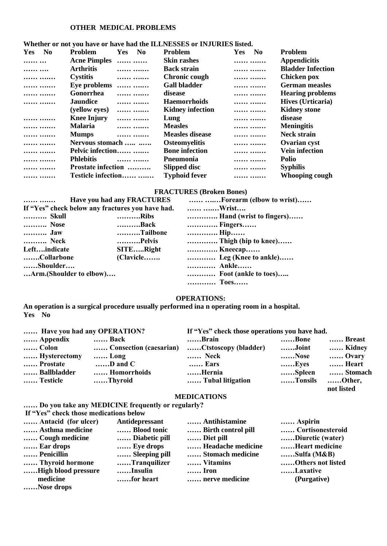# **OTHER MEDICAL PROBLEMS**

| <b>Yes</b><br>N <sub>0</sub> | <b>Problem</b><br><b>Yes</b><br>N <sub>0</sub> | <b>Problem</b>          | N <sub>0</sub><br><b>Yes</b> | Problem                  |
|------------------------------|------------------------------------------------|-------------------------|------------------------------|--------------------------|
|                              | Acne Pimples                                   | <b>Skin rashes</b>      |                              | <b>Appendicitis</b>      |
|                              | <b>Arthritis</b><br>                           | <b>Back strain</b>      |                              | <b>Bladder Infection</b> |
|                              | <b>Cystitis</b><br>.                           | <b>Chronic cough</b>    |                              | <b>Chicken pox</b>       |
|                              | Eye problems<br>                               | <b>Gall bladder</b>     |                              | <b>German measles</b>    |
|                              | Gonorrhea<br>                                  | disease                 |                              | <b>Hearing problems</b>  |
|                              | <b>Jaundice</b><br>                            | <b>Haemorrhoids</b>     |                              | Hives (Urticaria)        |
|                              | (yellow eyes)<br>                              | <b>Kidney infection</b> |                              | <b>Kidney stone</b>      |
|                              | <b>Knee Injury</b><br>                         | Lung                    |                              | disease                  |
|                              | <b>Malaria</b><br>                             | <b>Measles</b>          |                              | <b>Meningitis</b>        |
|                              | <b>Mumps</b><br>                               | <b>Measles disease</b>  |                              | <b>Neck strain</b>       |
|                              | Nervous stomach                                | <b>Osteomyelitis</b>    |                              | Ovarian cyst             |
|                              | Pelvic infection                               | <b>Bone</b> infection   |                              | <b>Vein infection</b>    |
|                              | <b>Phlebitis</b><br>                           | <b>P</b> neumonia       |                              | <b>Polio</b>             |
|                              | Prostate infection                             | Slipped disc            |                              | <b>Syphilis</b>          |
|                              | Testicle infection                             | <b>Typhoid fever</b>    |                              | <b>Whooping cough</b>    |
|                              |                                                |                         |                              |                          |

# **Whether or not you have or have had the ILLNESSES or INJURIES listed.**

# **FRACTURES (Broken Bones)**

|                                                  | <b>Have you had any FRACTURES</b> | Forearm (elbow to wrist) |
|--------------------------------------------------|-----------------------------------|--------------------------|
| If "Yes" check below any fractures you have had. |                                   | Wrist                    |
| Skull                                            | Ribs                              | Hand (wrist to fingers)  |
| Nose                                             | Back                              | Fingers                  |
| Jaw                                              | Tailbone                          | Hip                      |
| Neck                                             | Pelvis                            | Thigh (hip to knee)      |
| Leftindicate                                     | SITERight                         | Kneecap                  |
| Collarbone                                       | (Clavicle                         | Leg (Knee to ankle)      |
| Shoulder                                         |                                   | Ankle                    |
| Arm.(Shoulder to elbow)                          |                                   | Foot (ankle to toes)     |
|                                                  |                                   | Toes                     |

## **OPERATIONS:**

**An operation is a surgical procedure usually performed ina n operating room in a hospital. Yes No**

| Have you had any OPERATION? |                        | If "Yes" check those operations you have had. |         |                      |
|-----------------------------|------------------------|-----------------------------------------------|---------|----------------------|
| Appendix                    | Back                   | Brain                                         | Bone    | Breast               |
| …… Colon                    | Consection (caesarian) | Ctstoscopy (bladder)                          | Joint   | Kidney               |
| Hysterectomy                | $$ Long                | Neck                                          | Nose    | Ovary                |
| Prostate                    | $\ldots$ D and C       | <b>Ears</b>                                   | Eyes    | Heart                |
| Ballbladder                 | Homorrhoids            | Hernia                                        | Spleen  | Stomach              |
| Testicle                    | Thyroid                | Tubal litigation                              | Tonsils | Other,<br>not listed |

#### **MEDICATIONS**

**…… Do you take any MEDICINE frequently or regularly?**

**If "Yes" check those medications below**

| Antacid (for ulcer) | Antidepressant | Antihistamine      | Aspirin           |
|---------------------|----------------|--------------------|-------------------|
| Asthma medicine     | Blood tonic    | Birth control pill | Cortisonesteroid  |
| Cough medicine      | Diabetic pill  | Diet pill          | Diuretic (water)  |
| Ear drops           | Eye drops      | Headache medicine  | Heart medicine    |
| Penicillin          | Sleeping pill  | Stomach medicine   | Sulfa (M&B)       |
| Thyroid hormone     | Tranquilizer   | Vitamins           | Others not listed |
| High blood pressure | Insulin        | <b>Iron</b>        | Laxative          |
| medicine            | for heart      | nerve medicine     | (Purgative)       |
| Nose drops          |                |                    |                   |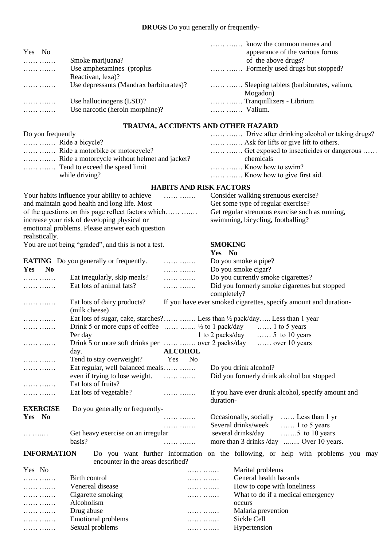| Yes No            |                                         | appearance of the various forms               |
|-------------------|-----------------------------------------|-----------------------------------------------|
| .                 | Smoke marijuana?                        | of the above drugs?                           |
| .                 | Use amphetamines (proplus)              |                                               |
|                   | Reactivan, lexa)?                       |                                               |
|                   | Use depressants (Mandrax barbiturates)? | Sleeping tablets (barbiturates, valium,       |
|                   |                                         | Mogadon)                                      |
|                   | Use hallucinogens (LSD)?                | Tranquillizers - Librium                      |
|                   | Use narcotic (heroin morphine)?         | Valium.                                       |
|                   |                                         | TRAUMA, ACCIDENTS AND OTHER HAZARD            |
| Do vou frequently |                                         | Drive after drinking alcohol or taking drugs? |

| Do you frequently                             |                                                       |  |  |
|-----------------------------------------------|-------------------------------------------------------|--|--|
| $\ldots$ $\ldots$ $\ldots$ Ride a bicycle?    |                                                       |  |  |
|                                               |                                                       |  |  |
| Ride a motorcycle without helmet and jacket?  | chemicals                                             |  |  |
|                                               | $\ldots$ $\ldots$ $\ldots$ $\ldots$ Know how to swim? |  |  |
| while driving?                                |                                                       |  |  |
| <b>HABITS AND RISK FACTORS</b>                |                                                       |  |  |
| Your habits influence your ability to achieve | Consider walking strenuous exercise?                  |  |  |

|                    | Tour nables influence your ability to active and the contract of the set of the set of the set of the set of t<br>and maintain good health and long life. Most |                              | Consider waiking strendous exercise:<br>Get some type of regular exercise?           |
|--------------------|----------------------------------------------------------------------------------------------------------------------------------------------------------------|------------------------------|--------------------------------------------------------------------------------------|
|                    |                                                                                                                                                                |                              |                                                                                      |
|                    | increase your risk of developing physical or                                                                                                                   |                              | Get regular strenuous exercise such as running,<br>swimming, bicycling, footballing? |
|                    | emotional problems. Please answer each question                                                                                                                |                              |                                                                                      |
| realistically.     |                                                                                                                                                                |                              |                                                                                      |
|                    | You are not being "graded", and this is not a test.                                                                                                            |                              | <b>SMOKING</b>                                                                       |
|                    |                                                                                                                                                                |                              | Yes No                                                                               |
|                    | <b>EATING</b> Do you generally or frequently.                                                                                                                  | .                            | Do you smoke a pipe?                                                                 |
| No<br>Yes          |                                                                                                                                                                | .                            | Do you smoke cigar?                                                                  |
| .                  | Eat irregularly, skip meals?                                                                                                                                   | .                            | Do you currently smoke cigarettes?                                                   |
| .                  | Eat lots of animal fats?                                                                                                                                       | .                            | Did you formerly smoke cigarettes but stopped                                        |
|                    |                                                                                                                                                                |                              | completely?                                                                          |
| .                  | Eat lots of dairy products?                                                                                                                                    |                              | If you have ever smoked cigarettes, specify amount and duration-                     |
|                    | (milk cheese)                                                                                                                                                  |                              |                                                                                      |
| .                  |                                                                                                                                                                |                              |                                                                                      |
| .                  | Drink 5 or more cups of coffee $\ldots$ $\frac{1}{2}$ to 1 pack/day                                                                                            |                              | $\ldots$ 1 to 5 years                                                                |
|                    | Per day                                                                                                                                                        |                              | 1 to 2 packs/day<br>$\ldots$ 5 to 10 years                                           |
| .                  |                                                                                                                                                                |                              | $\ldots$ over 10 years                                                               |
|                    | day.                                                                                                                                                           | <b>ALCOHOL</b>               |                                                                                      |
| .                  | Tend to stay overweight?                                                                                                                                       | <b>Yes</b><br>N <sub>0</sub> |                                                                                      |
| .                  | Eat regular, well balanced meals                                                                                                                               |                              | Do you drink alcohol?                                                                |
|                    |                                                                                                                                                                |                              | Did you formerly drink alcohol but stopped                                           |
| .                  | Eat lots of fruits?                                                                                                                                            |                              |                                                                                      |
| .                  | Eat lots of vegetable?                                                                                                                                         | .                            | If you have ever drunk alcohol, specify amount and<br>duration-                      |
| <b>EXERCISE</b>    | Do you generally or frequently-                                                                                                                                |                              |                                                                                      |
| Yes No             |                                                                                                                                                                | .                            | Occasionally, socially  Less than 1 yr                                               |
|                    |                                                                                                                                                                | .                            | Several drinks/week<br>$\ldots$ 1 to 5 years                                         |
| .                  | Get heavy exercise on an irregular                                                                                                                             |                              | several drinks/day<br>$\dots$ 5 to 10 years                                          |
|                    | basis?                                                                                                                                                         | .                            | more than 3 drinks /day  Over 10 years.                                              |
| <b>INFORMATION</b> |                                                                                                                                                                |                              | Do you want further information on the following, or help with problems you may      |
|                    | encounter in the areas described?                                                                                                                              |                              |                                                                                      |
| Yes No             |                                                                                                                                                                | .                            | Marital problems                                                                     |
| .                  | Birth control                                                                                                                                                  | .                            | General health hazards                                                               |
| .                  | Venereal disease                                                                                                                                               | .                            | How to cope with loneliness                                                          |
| .                  | Cigarette smoking                                                                                                                                              | .                            | What to do if a medical emergency                                                    |
| .                  | Alcoholism                                                                                                                                                     |                              | occurs                                                                               |
| .                  | Drug abuse<br>$17.777$ $17.777$                                                                                                                                | .                            | Malaria prevention                                                                   |
|                    |                                                                                                                                                                |                              | $0.11 \times 11$                                                                     |

| . | <b>Emotional problems</b> | . | Sickle Cell  |
|---|---------------------------|---|--------------|
| . | Sexual problems           | . | Hypertension |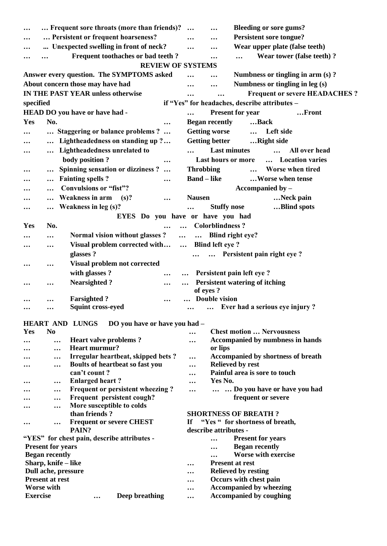| $\ddotsc$           | Frequent sore throats (more than friends)?                           | <b>Bleeding or sore gums?</b><br>$\ddotsc$              |
|---------------------|----------------------------------------------------------------------|---------------------------------------------------------|
|                     | Persistent or frequent hoarseness?                                   | <b>Persistent sore tongue?</b><br>                      |
|                     | Unexpected swelling in front of neck?                                | Wear upper plate (false teeth)<br>                      |
|                     | Frequent toothaches or bad teeth ?                                   | Wear tower (false teeth)?                               |
|                     | <b>REVIEW OF SYSTEMS</b>                                             |                                                         |
|                     | Answer every question. The SYMPTOMS asked                            | Numbness or tingling in arm (s)?                        |
|                     | About concern those may have had                                     | Numbness or tingling in leg (s)<br><br>                 |
|                     | <b>IN THE PAST YEAR unless otherwise</b>                             | <b>Frequent or severe HEADACHES?</b>                    |
| specified           |                                                                      | if "Yes" for headaches, describe attributes -           |
|                     | HEAD DO you have or have had -                                       | <b>Present for year</b><br>Front                        |
| Yes                 | No.                                                                  | <b>Began recently</b><br>Back                           |
|                     |                                                                      |                                                         |
|                     | Staggering or balance problems ?                                     | <b>Getting worse</b><br>Left side<br>$\cdots$           |
|                     | Lightheadedness on standing up ?                                     | <b>Getting better</b><br>Right side                     |
|                     | Lightheadedness unrelated to                                         | <b>Last minutes</b><br>All over head                    |
|                     | body position?<br>                                                   | Location varies<br>Last hours or more                   |
| $\cdots$            | <b>Spinning sensation or dizziness?</b><br>$\cdots$                  | <b>Throbbing</b><br><b>Worse when tired</b><br>$\cdots$ |
|                     | <b>Fainting spells ?</b><br>$\ddotsc$<br>                            | <b>Band</b> – like<br>Worse when tense                  |
|                     | <b>Convulsions or "fist"?</b><br>$\ddotsc$                           | Accompanied by -                                        |
|                     | Weakness in arm<br>(s)?                                              | Neck pain<br><b>Nausen</b>                              |
|                     | <b>Weakness in leg (s)?</b>                                          | <b>Stuffy nose</b><br>Blind spots                       |
|                     |                                                                      | EYES Do you have or have you had                        |
| <b>Yes</b>          | No.                                                                  | <b>Colorblindness?</b>                                  |
|                     | Normal vision without glasses?<br>$\ddotsc$<br>.                     | Blind right eye?<br>$\cdots$                            |
|                     | Visual problem corrected with                                        | <b>Blind left eye ?</b><br>$\cdots$                     |
|                     | <br>glasses?                                                         | Persistent pain right eye?                              |
|                     |                                                                      |                                                         |
| $\cdots$            | Visual problem not corrected<br>$\ddotsc$                            |                                                         |
|                     | with glasses?<br>$\ddotsc$                                           | Persistent pain left eye ?                              |
| $\ddotsc$           | <b>Nearsighted?</b><br>$\ddotsc$<br>$\ddotsc$                        | Persistent watering of itching                          |
|                     | <b>Farsighted?</b>                                                   | of eyes?<br><b>Double vision</b>                        |
|                     | $\ddotsc$<br><b>Squint cross-eyed</b>                                | Ever had a serious eye injury?                          |
|                     |                                                                      |                                                         |
|                     | HEART AND LUNGS<br>DO you have or have you had -                     |                                                         |
| Yes                 | N <sub>0</sub>                                                       | <b>Chest motion  Nervousness</b>                        |
|                     | <b>Heart valve problems?</b><br>$\ddotsc$                            | Accompanied by numbness in hands<br>                    |
|                     | Heart murmur?<br>                                                    | or lips                                                 |
|                     | Irregular heartbeat, skipped bets?<br>$\ddotsc$                      | <b>Accompanied by shortness of breath</b><br>$\ddotsc$  |
|                     | Boults of heartbeat so fast you<br>                                  | <b>Relieved by rest</b><br>                             |
|                     | can't count?                                                         | Painful area is sore to touch<br>$\ddotsc$              |
|                     | <b>Enlarged heart?</b><br>$\cdots$                                   | Yes No.<br>$\ddotsc$                                    |
|                     | Frequent or persistent wheezing?<br>$\ddotsc$                        | Do you have or have you had<br>$\cdots$<br>$\cdots$     |
|                     | Frequent persistent cough?<br>$\ddotsc$<br>More susceptible to colds | frequent or severe                                      |
|                     | $\ddotsc$<br>than friends?                                           | <b>SHORTNESS OF BREATH?</b>                             |
|                     | <b>Frequent or severe CHEST</b>                                      | "Yes " for shortness of breath,<br>If                   |
| $\bullet$ $\bullet$ | $\ddotsc$<br>PAIN?                                                   | describe attributes -                                   |
|                     | "YES" for chest pain, describe attributes -                          | <b>Present for years</b>                                |
|                     | <b>Present for years</b>                                             | <b>Began recently</b>                                   |
|                     | <b>Began recently</b>                                                | <b>Worse with exercise</b><br>.                         |
|                     | Sharp, knife - like                                                  | <b>Present at rest</b><br>$\cdots$                      |
|                     | Dull ache, pressure                                                  | <b>Relieved by resting</b><br>                          |
|                     | <b>Present at rest</b>                                               | Occurs with chest pain<br>$\ddotsc$                     |
|                     | <b>Worse with</b>                                                    | <b>Accompanied by wheezing</b><br>$\ddotsc$             |
| <b>Exercise</b>     | <b>Deep breathing</b><br>$\ddotsc$                                   | <b>Accompanied by coughing</b><br>$\ddotsc$             |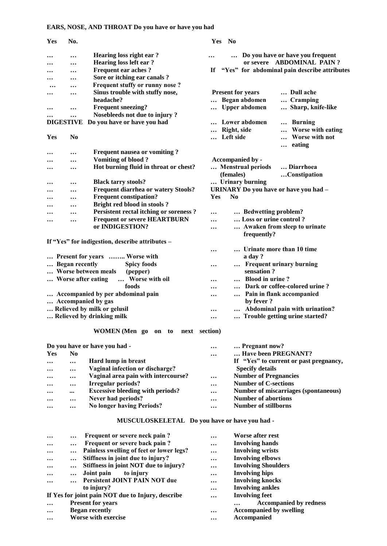# **EARS, NOSE, AND THROAT Do you have or have you had**

| Yes       | No.                   |                                                 |           | Yes No                                |                                              |
|-----------|-----------------------|-------------------------------------------------|-----------|---------------------------------------|----------------------------------------------|
|           |                       | Hearing loss right ear?                         | $\ddotsc$ |                                       | Do you have or have you frequent             |
|           |                       | <b>Hearing loss left ear?</b>                   |           |                                       | or severe ABDOMINAL PAIN?                    |
|           | $\ddotsc$             | <b>Frequent ear aches?</b>                      | Иf        |                                       | "Yes" for abdominal pain describe attributes |
|           |                       | Sore or itching ear canals?                     |           |                                       |                                              |
|           |                       | Frequent stuffy or runny nose?                  |           |                                       |                                              |
|           |                       | Sinus trouble with stuffy nose,                 |           | <b>Present for years</b>              | Dull ache                                    |
|           |                       | headache?                                       |           | Began abdomen                         | Cramping                                     |
|           |                       | <b>Frequent sneezing?</b>                       |           | <b>Upper abdomen</b>                  | Sharp, knife-like                            |
|           |                       | Nosebleeds not due to injury?                   |           |                                       |                                              |
|           | <b>DIGESTIVE</b>      | Do you have or have you had                     |           | Lower abdomen                         | <b>Burning</b><br>                           |
|           |                       |                                                 |           | Right, side                           | Worse with eating                            |
| Yes       | No                    |                                                 |           | Left side                             | Worse with not                               |
|           |                       |                                                 |           |                                       | eating<br>                                   |
| $\ddotsc$ |                       | <b>Frequent nausea or vomiting?</b>             |           |                                       |                                              |
|           |                       | <b>Vomiting of blood?</b>                       |           | Accompanied by -                      |                                              |
|           |                       | Hot burning fluid in throat or chest?           |           | Menstrual periods                     | Diarrhoea                                    |
|           |                       |                                                 |           | (females)                             | Constipation                                 |
|           |                       | <b>Black tarry stools?</b>                      |           | Urinary burning                       |                                              |
|           |                       | <b>Frequent diarrhea or watery Stools?</b>      |           | URINARY Do you have or have you had - |                                              |
|           |                       | <b>Frequent constipation?</b>                   | Yes       | N <sub>0</sub>                        |                                              |
|           |                       | Bright red blood in stools?                     |           |                                       |                                              |
|           |                       | <b>Persistent rectal itching or soreness?</b>   |           | Bedwetting problem?                   |                                              |
|           |                       | <b>Frequent or severe HEARTBURN</b>             |           | Loss or urine control?                |                                              |
|           |                       | or INDIGESTION?                                 |           |                                       | Awaken from sleep to urinate                 |
|           |                       |                                                 |           | frequently?                           |                                              |
|           |                       | If "Yes" for indigestion, describe attributes - |           |                                       |                                              |
|           |                       |                                                 |           |                                       | Urinate more than 10 time                    |
|           |                       | Present for years  Worse with                   |           | a day?                                |                                              |
|           | <b>Began recently</b> | <b>Spicy foods</b>                              |           |                                       | <b>Frequent urinary burning</b>              |
|           |                       | Worse between meals<br>(pepper)                 |           | sensation?                            |                                              |
|           |                       | Worse with oil<br>Worse after eating            |           | <b>Blood in urine?</b>                |                                              |
|           |                       | foods                                           |           |                                       | Dark or coffee-colored urine?                |
|           |                       | Accompanied by per abdominal pain               |           | $\cdots$                              | Pain in flank accompanied                    |
|           |                       | Accompanied by gas                              |           | by fever?                             |                                              |
|           |                       | Relieved by milk or gelusil                     | $\ddotsc$ |                                       | Abdominal pain with urination?               |
|           |                       | Relieved by drinking milk                       |           |                                       | Trouble getting urine started?               |
|           |                       | WOMEN (Men go on to<br>next section)            |           |                                       |                                              |
|           |                       | Do you have or have you had -                   |           | Pregnant now?                         |                                              |
| Yes       | N <sub>0</sub>        |                                                 | $\ddotsc$ | Have been PREGNANT?                   |                                              |
|           |                       | Hard lump in breast                             |           |                                       | If "Yes" to current or past pregnancy,       |
|           |                       | Vaginal infection or discharge?                 |           | <b>Specify details</b>                |                                              |
|           | $\ddotsc$             | Vaginal area pain with intercourse?             |           | <b>Number of Pregnancies</b>          |                                              |
|           | $\ddotsc$             | Irregular periods?                              |           | <b>Number of C-sections</b>           |                                              |
|           |                       | <b>Excessive bleeding with periods?</b>         |           |                                       | <b>Number of miscarriages (spontaneous)</b>  |
|           |                       | Never had periods?                              |           | <b>Number of abortions</b>            |                                              |
|           | $\ddotsc$             | <b>No longer having Periods?</b>                |           | <b>Number of stillborns</b>           |                                              |
|           |                       |                                                 |           |                                       |                                              |
|           |                       | MUSCULOSKELETAL Do you have or have you had -   |           |                                       |                                              |

| $\ddotsc$ | $\cdots$  | Frequent or severe neck pain?                     | $\ddotsc$ | Worse after rest               |
|-----------|-----------|---------------------------------------------------|-----------|--------------------------------|
| $\cdots$  | $\cdots$  | Frequent or severe back pain?                     | $\cdots$  | <b>Involving hands</b>         |
| $\cdots$  |           | Painless swelling of feet or lower legs?          | $\ddotsc$ | <b>Involving wrists</b>        |
| $\cdots$  | $\ddotsc$ | Stiffness in joint due to injury?                 | $\ddotsc$ | <b>Involving elbows</b>        |
| $\ddotsc$ | $\cdots$  | Stiffness in joint NOT due to injury?             | $\ddotsc$ | <b>Involving Shoulders</b>     |
| $\ddotsc$ | $\ddotsc$ | to injury<br>Joint pain                           | $\cdots$  | <b>Involving hips</b>          |
| $\ddotsc$ |           | Persistent JOINT PAIN NOT due                     | $\cdots$  | <b>Involving knocks</b>        |
|           |           | to injury?                                        | $\ddotsc$ | <b>Involving ankles</b>        |
|           |           | If Yes for joint pain NOT due to Injury, describe | $\ddotsc$ | <b>Involving feet</b>          |
| $\ddotsc$ |           | <b>Present for years</b>                          |           | <b>Accompanied by redness</b>  |
| $\ddotsc$ |           | <b>Began recently</b>                             | $\ddotsc$ | <b>Accompanied by swelling</b> |
| $\ddotsc$ |           | <b>Worse with exercise</b>                        | $\ddotsc$ | Accompanied                    |
|           |           |                                                   |           |                                |
|           |           |                                                   |           |                                |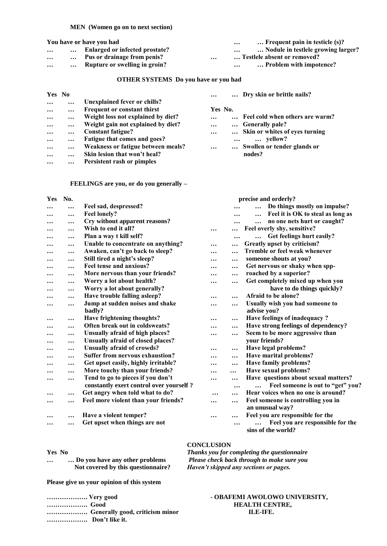#### **MEN (Women go on to next section)**

|          |          | You have or have you had           |           | $\ldots$ Frequent pain in testicle (s)?<br>$\cdots$ |
|----------|----------|------------------------------------|-----------|-----------------------------------------------------|
| $\cdots$ | $\cdots$ | Enlarged or infected prostate?     |           | Nodule in testlele growing larger?<br>$\ddotsc$     |
| $\cdots$ |          | <b>Pus or drainage from penis?</b> | $\ddotsc$ | Testlele absent or removed?                         |
| $\cdots$ | $\cdots$ | Rupture or swelling in groin?      |           | Problem with impotence?<br>$\cdots$                 |
|          |          |                                    |           |                                                     |

#### **OTHER SYSTEMS Do you have or you had**

| Yes No    |           |                                    | $\ddotsc$ |          | Dry skin or brittle nails?      |
|-----------|-----------|------------------------------------|-----------|----------|---------------------------------|
| $\ddotsc$ | $\ddotsc$ | Unexplained fever or chills?       |           |          |                                 |
| $\cdots$  | $\cdots$  | Frequent or constant thirst        | Yes No.   |          |                                 |
| $\cdots$  | $\cdots$  | Weight loss not explained by diet? | $\ddotsc$ |          | Feel cold when others are warm? |
| $\cdots$  | $\cdots$  | Weight gain not explained by diet? | $\ddotsc$ |          | Generally pale?                 |
| $\cdots$  | $\ddotsc$ | <b>Constant fatigue?</b>           | $\ddotsc$ |          | Skin or whites of eyes turning  |
| $\cdots$  | $\ddotsc$ | Fatigue that comes and goes?       |           | $\cdots$ | yellow?                         |
| $\ddotsc$ | $\cdots$  | Weakness or fatigue between meals? | $\ddotsc$ |          | Swollen or tender glands or     |
| $\ddotsc$ | $\cdots$  | Skin lesion that won't heal?       |           |          | nodes?                          |
| $\ddotsc$ | $\cdots$  | Persistent rash or pimples         |           |          |                                 |
|           |           |                                    |           |          |                                 |

**FEELINGS are you, or do you generally –**

| Yes       | No.       |                                         |           |           | precise and orderly?                     |
|-----------|-----------|-----------------------------------------|-----------|-----------|------------------------------------------|
| $\cdots$  |           | Feel sad, despressed?                   |           |           | Do things mostly on impulse?<br>$\cdots$ |
|           | $\cdots$  | <b>Feel lonely?</b>                     |           |           | Feel it is OK to steal as long as<br>    |
|           | $\cdots$  | Cry without apparent reasons?           |           |           | no one nets hurt or caught?<br>          |
|           | $\cdots$  | Wish to end it all?                     | $\ddotsc$ | $\cdots$  | Feel overly shy, sensitive?              |
|           | $\cdots$  | Plan a way t kill self?                 |           | $\ddotsc$ | Get feelings hurt easily?                |
|           |           | Unable to concentrate on anything?      |           |           | Greatly upset by criticism?              |
|           | $\ddotsc$ | Awaken, can't go back to sleep?         |           |           | Tremble or feel weak whenever            |
|           |           | Still tired a night's sleep?            |           |           | someone shouts at you?                   |
|           |           | Feel tense and anxious?                 | $\ddotsc$ | $\cdots$  | Get nervous or shaky when spp-           |
|           | $\cdots$  | More nervous than your friends?         |           | $\ddotsc$ | roached by a superior?                   |
|           | $\cdots$  | Worry a lot about health?               |           |           | Get completely mixed up when you         |
|           | $\ddotsc$ | Worry a lot about generally?            |           |           | have to do things quickly?               |
|           |           | Have trouble falling asleep?            | $\ddotsc$ |           | Afraid to be alone?                      |
|           | $\ddotsc$ | Jump at sudden noises and shake         |           | $\ddotsc$ | Usually wish you had someone to          |
|           |           | badly?                                  |           |           | advise you?                              |
| $\ddotsc$ | $\cdots$  | Have frightening thoughts?              | $\ddotsc$ | $\ddotsc$ | Have feelings of inadequacy?             |
|           |           | Often break out in coldsweats?          |           | $\cdots$  | Have strong feelings of dependency?      |
|           | $\ddotsc$ | Unsually afraid of high places?         |           | $\ddotsc$ | Seem to be more aggressive than          |
|           | $\cdots$  | Unsually afraid of closed places?       |           |           | your friends?                            |
|           | $\cdots$  | <b>Unsually afraid of crowds?</b>       | $\ddotsc$ | $\cdots$  | Have legal problems?                     |
|           | $\cdots$  | <b>Suffer from nervous exhaustion?</b>  |           | $\cdots$  | Have marital problems?                   |
|           | $\cdots$  | Get upset easily, highly irritable?     |           |           | Have family problems?                    |
|           |           | More touchy than your friends?          |           | $\cdots$  | Have sexual problems?                    |
|           | $\cdots$  | Tend to go to pieces if you don't       |           | $\cdots$  | Have questions about sexual matters?     |
|           |           | constantly exert control over yourself? |           |           | Feel someone is out to "get" you?        |
| $\ddotsc$ | $\ddotsc$ | Get angry when told what to do?         |           | $\cdots$  | Hear voices when no one is around?       |
|           |           | Feel more violent than your friends?    |           |           | Feel someone is controlling you in       |
|           |           |                                         |           |           | an unusual way?                          |
|           | $\ddotsc$ | Have a violent temper?                  |           | $\cdots$  | Feel you are responsible for the         |
|           |           | Get upset when things are not           |           |           | Feel you are responsible for the         |
|           |           |                                         |           |           | sins of the world?                       |

#### **CONCLUSION**

**Yes No** *Thanks you for completing the questionnaire* **… … Do you have any other problems** *Please check back through to make sure you*  **Not covered by this questionnaire?** *Haven't skipped any sections or pages.*

**Please give us your opinion of this system**

| Very good      |                                 |
|----------------|---------------------------------|
| Good           |                                 |
|                | Generally good, criticism minor |
| Don't like it. |                                 |

#### **………………. Very good - OBAFEMI AWOLOWO UNIVERSITY, ………………. Good HEALTH CENTRE, ………………. Generally good, criticism minor ILE-IFE.**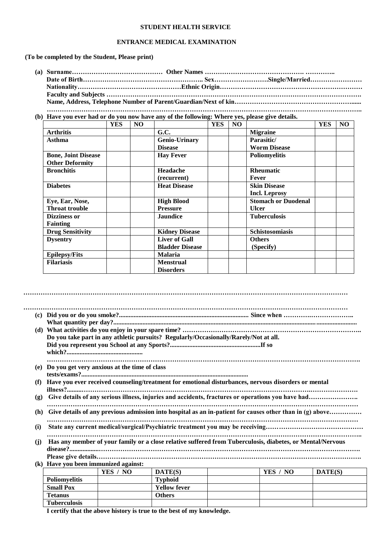#### **STUDENT HEALTH SERVICE**

#### **ENTRANCE MEDICAL EXAMINATION**

**(To be completed by the Student, Please print)**

**(b) Have you ever had or do you now have any of the following: Where yes, please give details.**

|                            | <b>YES</b> | NO. |                        | <b>YES</b> | N <sub>O</sub> |                            | <b>YES</b> | N <sub>O</sub> |
|----------------------------|------------|-----|------------------------|------------|----------------|----------------------------|------------|----------------|
| <b>Arthritis</b>           |            |     | G.C.                   |            |                | <b>Migraine</b>            |            |                |
| Asthma                     |            |     | <b>Genio-Urinary</b>   |            |                | Parasitic/                 |            |                |
|                            |            |     | <b>Disease</b>         |            |                | <b>Worm Disease</b>        |            |                |
| <b>Bone, Joint Disease</b> |            |     | <b>Hay Fever</b>       |            |                | Poliomyelitis              |            |                |
| <b>Other Deformity</b>     |            |     |                        |            |                |                            |            |                |
| <b>Bronchitis</b>          |            |     | Headache               |            |                | <b>Rheumatic</b>           |            |                |
|                            |            |     | (recurrent)            |            |                | Fever                      |            |                |
| <b>Diabetes</b>            |            |     | <b>Heat Disease</b>    |            |                | <b>Skin Disease</b>        |            |                |
|                            |            |     |                        |            |                | <b>Incl. Leprosy</b>       |            |                |
| Eye, Ear, Nose,            |            |     | <b>High Blood</b>      |            |                | <b>Stomach or Duodenal</b> |            |                |
| <b>Throat trouble</b>      |            |     | <b>Pressure</b>        |            |                | <b>Ulcer</b>               |            |                |
| Dizziness or               |            |     | <b>Jaundice</b>        |            |                | <b>Tuberculosis</b>        |            |                |
| <b>Fainting</b>            |            |     |                        |            |                |                            |            |                |
| <b>Drug Sensitivity</b>    |            |     | <b>Kidney Disease</b>  |            |                | Schistosomiasis            |            |                |
| <b>Dysentry</b>            |            |     | <b>Liver of Gall</b>   |            |                | <b>Others</b>              |            |                |
|                            |            |     | <b>Bladder Disease</b> |            |                | (Specify)                  |            |                |
| <b>Epilepsy/Fits</b>       |            |     | <b>Malaria</b>         |            |                |                            |            |                |
| <b>Filariasis</b>          |            |     | <b>Menstrual</b>       |            |                |                            |            |                |
|                            |            |     | <b>Disorders</b>       |            |                |                            |            |                |

**……………………………………………………………………………………………………………………………………**

|     |                                              |          | Do you take part in any athletic pursuits? Regularly/Occasionally/Rarely/Not at all.                      |          |         |
|-----|----------------------------------------------|----------|-----------------------------------------------------------------------------------------------------------|----------|---------|
|     |                                              |          |                                                                                                           |          |         |
| (e) | Do you get very anxious at the time of class |          |                                                                                                           |          |         |
|     |                                              |          |                                                                                                           |          |         |
| (f) |                                              |          | Have you ever received counseling/treatment for emotional disturbances, nervous disorders or mental       |          |         |
| (g) |                                              |          |                                                                                                           |          |         |
| (h) |                                              |          | Give details of any previous admission into hospital as an in-patient for causes other than in (g) above  |          |         |
| (i) |                                              |          |                                                                                                           |          |         |
| (j) |                                              |          | Has any member of your family or a close relative suffered from Tuberculosis, diabetes, or Mental/Nervous |          |         |
|     |                                              |          |                                                                                                           |          |         |
|     | (k) Have you been immunized against:         |          |                                                                                                           |          |         |
|     |                                              | YES / NO | DATE(S)                                                                                                   | YES / NO | DATE(S) |
|     | Poliomyelitis                                |          | <b>Typhoid</b>                                                                                            |          |         |
|     | <b>Small Pox</b>                             |          | <b>Yellow fever</b>                                                                                       |          |         |

**I certify that the above history is true to the best of my knowledge.**

**Tetanus Others** 

**Tuberculosis**